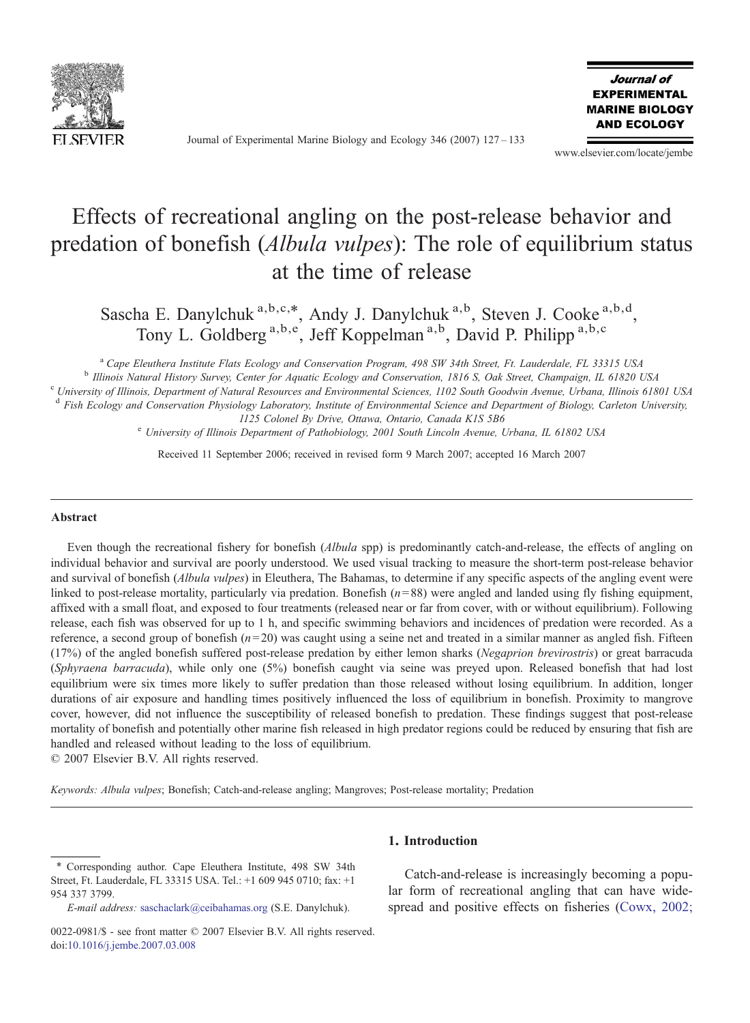

Journal of Experimental Marine Biology and Ecology 346 (2007) 127–133

Journal of **EXPERIMENTAL MARINE BIOLOGY AND ECOLOGY** 

www.elsevier.com/locate/jembe

# Effects of recreational angling on the post-release behavior and predation of bonefish (Albula vulpes): The role of equilibrium status at the time of release

Sascha E. Danylchuk a, b, c, \*, Andy J. Danylchuk a, b, Steven J. Cooke a, b, d, Tony L. Goldberg<sup>a,b,e</sup>, Jeff Koppelman<sup>a,b</sup>, David P. Philipp<sup>a,b,c</sup>

<sup>a</sup> Cape Eleuthera Institute Flats Ecology and Conservation Program, 498 SW 34th Street, Ft. Lauderdale, FL 33315 USA<br><sup>b</sup> Illinois Natural History Survey, Center for Aquatic Ecology and Conservation, 1816 S, Oak Street, Ch <sup>c</sup> University of Illinois, Department of Natural Resources and Environmental Sciences, 1102 South Goodwin Avenue, Urbana, Illinois 61801 USA <sup>d</sup> Fish Ecology and Conservation Physiology Laboratory, Institute of Environmental Science and Department of Biology, Carleton University,

1125 Colonel By Drive, Ottawa, Ontario, Canada K1S 5B6 <sup>e</sup> University of Illinois Department of Pathobiology, 2001 South Lincoln Avenue, Urbana, IL 61802 USA

Received 11 September 2006; received in revised form 9 March 2007; accepted 16 March 2007

#### Abstract

Even though the recreational fishery for bonefish *(Albula spp)* is predominantly catch-and-release, the effects of angling on individual behavior and survival are poorly understood. We used visual tracking to measure the short-term post-release behavior and survival of bonefish (Albula vulpes) in Eleuthera, The Bahamas, to determine if any specific aspects of the angling event were linked to post-release mortality, particularly via predation. Bonefish  $(n=88)$  were angled and landed using fly fishing equipment, affixed with a small float, and exposed to four treatments (released near or far from cover, with or without equilibrium). Following release, each fish was observed for up to 1 h, and specific swimming behaviors and incidences of predation were recorded. As a reference, a second group of bonefish  $(n=20)$  was caught using a seine net and treated in a similar manner as angled fish. Fifteen (17%) of the angled bonefish suffered post-release predation by either lemon sharks (Negaprion brevirostris) or great barracuda (Sphyraena barracuda), while only one (5%) bonefish caught via seine was preyed upon. Released bonefish that had lost equilibrium were six times more likely to suffer predation than those released without losing equilibrium. In addition, longer durations of air exposure and handling times positively influenced the loss of equilibrium in bonefish. Proximity to mangrove cover, however, did not influence the susceptibility of released bonefish to predation. These findings suggest that post-release mortality of bonefish and potentially other marine fish released in high predator regions could be reduced by ensuring that fish are handled and released without leading to the loss of equilibrium.

© 2007 Elsevier B.V. All rights reserved.

Keywords: Albula vulpes; Bonefish; Catch-and-release angling; Mangroves; Post-release mortality; Predation

# 1. Introduction

Catch-and-release is increasingly becoming a popular form of recreational angling that can have widespread and positive effects on fisheries [\(Cowx, 2002;](#page-6-0)

<sup>⁎</sup> Corresponding author. Cape Eleuthera Institute, 498 SW 34th Street, Ft. Lauderdale, FL 33315 USA. Tel.: +1 609 945 0710; fax: +1 954 337 3799.

E-mail address: [saschaclark@ceibahamas.org](mailto:saschaclark@ceibahamas.org) (S.E. Danylchuk).

<sup>0022-0981/\$ -</sup> see front matter © 2007 Elsevier B.V. All rights reserved. doi[:10.1016/j.jembe.2007.03.008](http://dx.doi.org/10.1016/j.jembe.2007.03.008)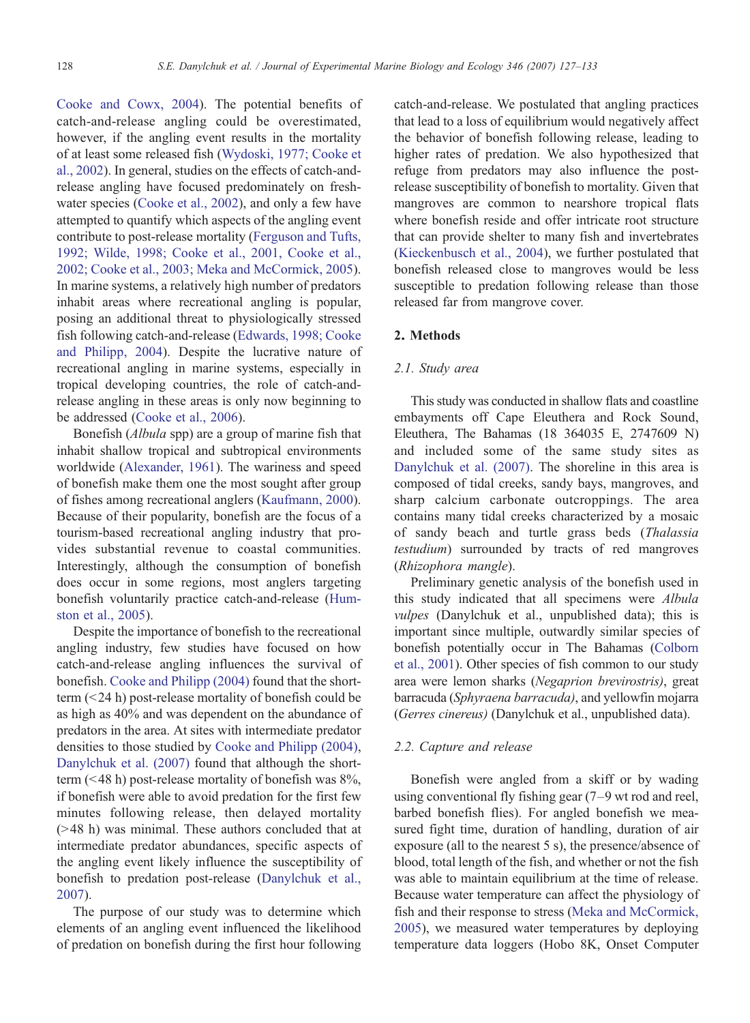[Cooke and Cowx, 2004\)](#page-6-0). The potential benefits of catch-and-release angling could be overestimated, however, if the angling event results in the mortality of at least some released fish ([Wydoski, 1977; Cooke et](#page-6-0) [al., 2002](#page-6-0)). In general, studies on the effects of catch-andrelease angling have focused predominately on freshwater species [\(Cooke et al., 2002](#page-6-0)), and only a few have attempted to quantify which aspects of the angling event contribute to post-release mortality ([Ferguson and Tufts,](#page-6-0) [1992; Wilde, 1998; Cooke et al., 2001, Cooke et al.,](#page-6-0) [2002; Cooke et al., 2003; Meka and McCormick, 2005\)](#page-6-0). In marine systems, a relatively high number of predators inhabit areas where recreational angling is popular, posing an additional threat to physiologically stressed fish following catch-and-release ([Edwards, 1998; Cooke](#page-6-0) [and Philipp, 2004](#page-6-0)). Despite the lucrative nature of recreational angling in marine systems, especially in tropical developing countries, the role of catch-andrelease angling in these areas is only now beginning to be addressed ([Cooke et al., 2006\)](#page-6-0).

Bonefish (Albula spp) are a group of marine fish that inhabit shallow tropical and subtropical environments worldwide ([Alexander, 1961\)](#page-5-0). The wariness and speed of bonefish make them one the most sought after group of fishes among recreational anglers ([Kaufmann, 2000\)](#page-6-0). Because of their popularity, bonefish are the focus of a tourism-based recreational angling industry that provides substantial revenue to coastal communities. Interestingly, although the consumption of bonefish does occur in some regions, most anglers targeting bonefish voluntarily practice catch-and-release [\(Hum](#page-6-0)[ston et al., 2005\)](#page-6-0).

Despite the importance of bonefish to the recreational angling industry, few studies have focused on how catch-and-release angling influences the survival of bonefish. [Cooke and Philipp \(2004\)](#page-5-0) found that the shortterm  $($  < 24 h) post-release mortality of bonefish could be as high as 40% and was dependent on the abundance of predators in the area. At sites with intermediate predator densities to those studied by [Cooke and Philipp \(2004\),](#page-5-0) [Danylchuk et al. \(2007\)](#page-6-0) found that although the shortterm ( $\leq$ 48 h) post-release mortality of bonefish was 8%, if bonefish were able to avoid predation for the first few minutes following release, then delayed mortality  $($ >48 h) was minimal. These authors concluded that at intermediate predator abundances, specific aspects of the angling event likely influence the susceptibility of bonefish to predation post-release ([Danylchuk et al.,](#page-6-0) [2007](#page-6-0)).

The purpose of our study was to determine which elements of an angling event influenced the likelihood of predation on bonefish during the first hour following

catch-and-release. We postulated that angling practices that lead to a loss of equilibrium would negatively affect the behavior of bonefish following release, leading to higher rates of predation. We also hypothesized that refuge from predators may also influence the postrelease susceptibility of bonefish to mortality. Given that mangroves are common to nearshore tropical flats where bonefish reside and offer intricate root structure that can provide shelter to many fish and invertebrates [\(Kieckenbusch et al., 2004\)](#page-6-0), we further postulated that bonefish released close to mangroves would be less susceptible to predation following release than those released far from mangrove cover.

# 2. Methods

# 2.1. Study area

This study was conducted in shallow flats and coastline embayments off Cape Eleuthera and Rock Sound, Eleuthera, The Bahamas (18 364035 E, 2747609 N) and included some of the same study sites as [Danylchuk et al. \(2007\).](#page-6-0) The shoreline in this area is composed of tidal creeks, sandy bays, mangroves, and sharp calcium carbonate outcroppings. The area contains many tidal creeks characterized by a mosaic of sandy beach and turtle grass beds (Thalassia testudium) surrounded by tracts of red mangroves (Rhizophora mangle).

Preliminary genetic analysis of the bonefish used in this study indicated that all specimens were Albula vulpes (Danylchuk et al., unpublished data); this is important since multiple, outwardly similar species of bonefish potentially occur in The Bahamas [\(Colborn](#page-5-0) [et al., 2001](#page-5-0)). Other species of fish common to our study area were lemon sharks (Negaprion brevirostris), great barracuda (Sphyraena barracuda), and yellowfin mojarra (Gerres cinereus) (Danylchuk et al., unpublished data).

# 2.2. Capture and release

Bonefish were angled from a skiff or by wading using conventional fly fishing gear (7–9 wt rod and reel, barbed bonefish flies). For angled bonefish we measured fight time, duration of handling, duration of air exposure (all to the nearest 5 s), the presence/absence of blood, total length of the fish, and whether or not the fish was able to maintain equilibrium at the time of release. Because water temperature can affect the physiology of fish and their response to stress [\(Meka and McCormick,](#page-6-0) [2005](#page-6-0)), we measured water temperatures by deploying temperature data loggers (Hobo 8K, Onset Computer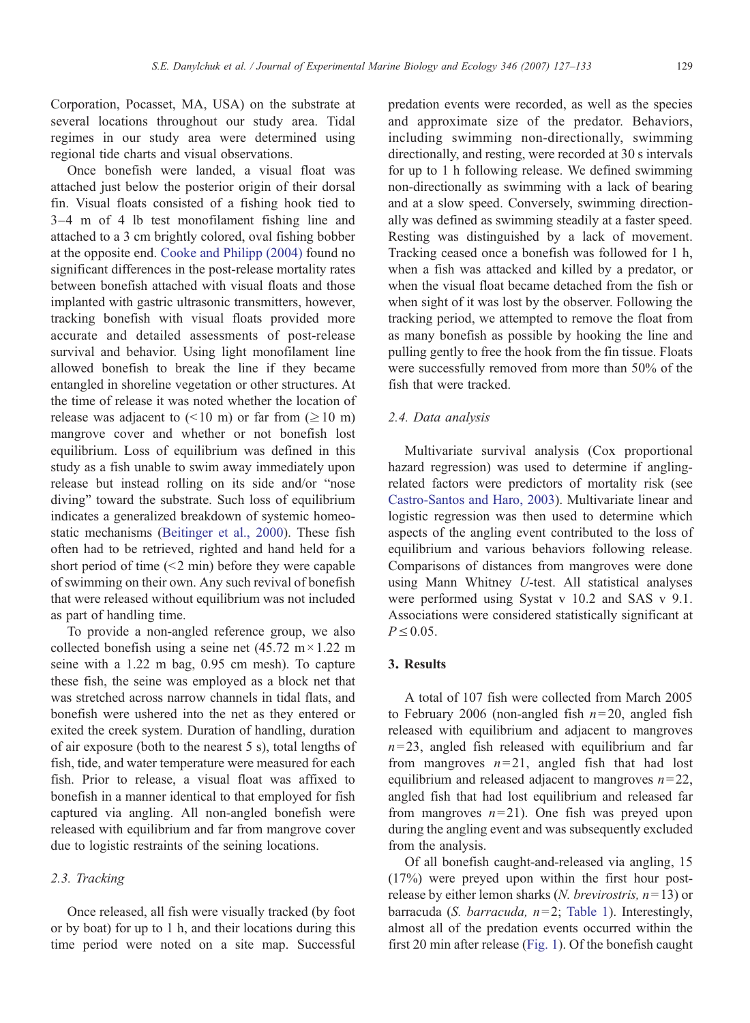Corporation, Pocasset, MA, USA) on the substrate at several locations throughout our study area. Tidal regimes in our study area were determined using regional tide charts and visual observations.

Once bonefish were landed, a visual float was attached just below the posterior origin of their dorsal fin. Visual floats consisted of a fishing hook tied to 3–4 m of 4 lb test monofilament fishing line and attached to a 3 cm brightly colored, oval fishing bobber at the opposite end. [Cooke and Philipp \(2004\)](#page-5-0) found no significant differences in the post-release mortality rates between bonefish attached with visual floats and those implanted with gastric ultrasonic transmitters, however, tracking bonefish with visual floats provided more accurate and detailed assessments of post-release survival and behavior. Using light monofilament line allowed bonefish to break the line if they became entangled in shoreline vegetation or other structures. At the time of release it was noted whether the location of release was adjacent to  $(510 \text{ m})$  or far from  $(210 \text{ m})$ mangrove cover and whether or not bonefish lost equilibrium. Loss of equilibrium was defined in this study as a fish unable to swim away immediately upon release but instead rolling on its side and/or "nose diving" toward the substrate. Such loss of equilibrium indicates a generalized breakdown of systemic homeostatic mechanisms ([Beitinger et al., 2000\)](#page-5-0). These fish often had to be retrieved, righted and hand held for a short period of time  $(2 \text{ min})$  before they were capable of swimming on their own. Any such revival of bonefish that were released without equilibrium was not included as part of handling time.

To provide a non-angled reference group, we also collected bonefish using a seine net  $(45.72 \text{ m} \times 1.22 \text{ m})$ seine with a 1.22 m bag, 0.95 cm mesh). To capture these fish, the seine was employed as a block net that was stretched across narrow channels in tidal flats, and bonefish were ushered into the net as they entered or exited the creek system. Duration of handling, duration of air exposure (both to the nearest 5 s), total lengths of fish, tide, and water temperature were measured for each fish. Prior to release, a visual float was affixed to bonefish in a manner identical to that employed for fish captured via angling. All non-angled bonefish were released with equilibrium and far from mangrove cover due to logistic restraints of the seining locations.

### 2.3. Tracking

Once released, all fish were visually tracked (by foot or by boat) for up to 1 h, and their locations during this time period were noted on a site map. Successful

predation events were recorded, as well as the species and approximate size of the predator. Behaviors, including swimming non-directionally, swimming directionally, and resting, were recorded at 30 s intervals for up to 1 h following release. We defined swimming non-directionally as swimming with a lack of bearing and at a slow speed. Conversely, swimming directionally was defined as swimming steadily at a faster speed. Resting was distinguished by a lack of movement. Tracking ceased once a bonefish was followed for 1 h, when a fish was attacked and killed by a predator, or when the visual float became detached from the fish or when sight of it was lost by the observer. Following the tracking period, we attempted to remove the float from as many bonefish as possible by hooking the line and pulling gently to free the hook from the fin tissue. Floats were successfully removed from more than 50% of the fish that were tracked.

# 2.4. Data analysis

Multivariate survival analysis (Cox proportional hazard regression) was used to determine if anglingrelated factors were predictors of mortality risk (see [Castro-Santos and Haro, 2003\)](#page-5-0). Multivariate linear and logistic regression was then used to determine which aspects of the angling event contributed to the loss of equilibrium and various behaviors following release. Comparisons of distances from mangroves were done using Mann Whitney U-test. All statistical analyses were performed using Systat v 10.2 and SAS v 9.1. Associations were considered statistically significant at  $P \leq 0.05$ .

#### 3. Results

A total of 107 fish were collected from March 2005 to February 2006 (non-angled fish  $n=20$ , angled fish released with equilibrium and adjacent to mangroves  $n= 23$ , angled fish released with equilibrium and far from mangroves  $n=21$ , angled fish that had lost equilibrium and released adjacent to mangroves  $n=22$ , angled fish that had lost equilibrium and released far from mangroves  $n=21$ ). One fish was preyed upon during the angling event and was subsequently excluded from the analysis.

Of all bonefish caught-and-released via angling, 15 (17%) were preyed upon within the first hour postrelease by either lemon sharks (*N. brevirostris*,  $n=13$ ) or barracuda (S. barracuda,  $n=2$ ; [Table 1](#page-3-0)). Interestingly, almost all of the predation events occurred within the first 20 min after release ([Fig. 1](#page-3-0)). Of the bonefish caught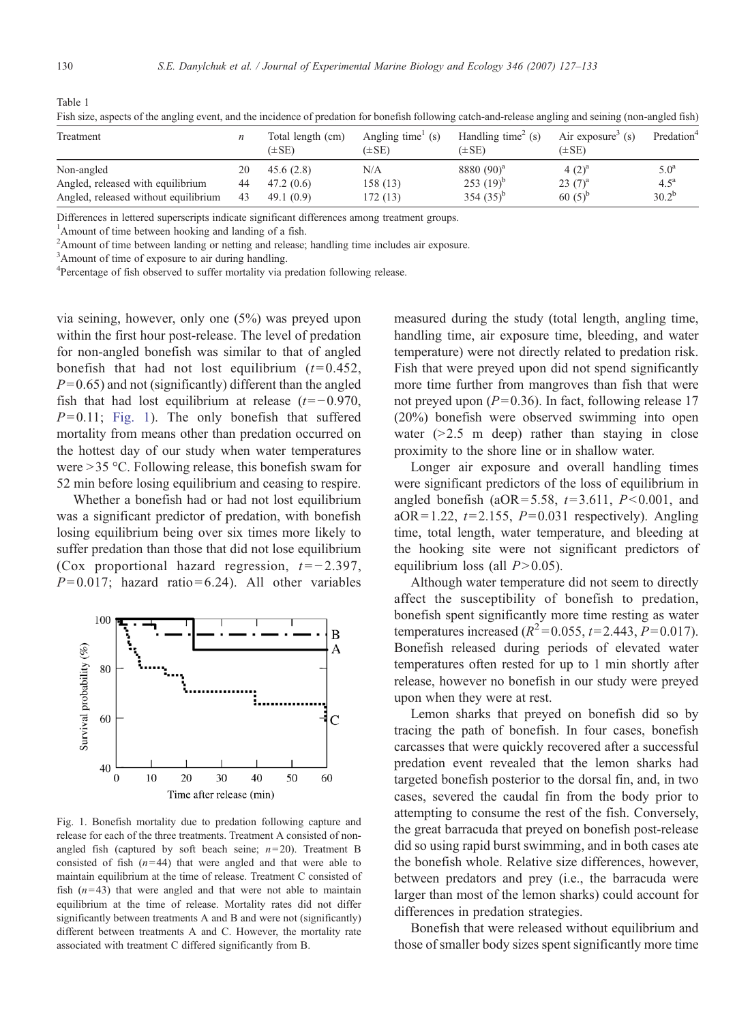| г ки мес, аspects от аге андинд сусит, ана аге инстастие от ргсаанон тог бонстви топоминд саки-ана-тексазе андинд ана scuring (пон-андка имг) |    |                                 |                                  |                                              |                                             |                        |
|-----------------------------------------------------------------------------------------------------------------------------------------------|----|---------------------------------|----------------------------------|----------------------------------------------|---------------------------------------------|------------------------|
| Treatment                                                                                                                                     |    | Total length (cm)<br>$(\pm SE)$ | Angling time $(s)$<br>$(\pm SE)$ | Handling time <sup>2</sup> (s)<br>$(\pm SE)$ | Air exposure <sup>3</sup> (s)<br>$(\pm SE)$ | Predation <sup>4</sup> |
| Non-angled                                                                                                                                    | 20 | 45.6(2.8)                       | N/A                              | 8880 $(90)^{a}$                              | 4 $(2)^a$                                   | 5.0 <sup>a</sup>       |
| Angled, released with equilibrium                                                                                                             | 44 | 47.2(0.6)                       | 158(13)                          | 253 $(19)^{6}$                               | $23(7)^{a}$                                 | $4.5^{\rm a}$          |
| Angled, released without equilibrium                                                                                                          | 43 | 49.1(0.9)                       | 172(13)                          | $354(35)^{b}$                                | $60(5)^{b}$                                 | $30.2^{b}$             |

Fish size, aspects of the angling event, and the incidence of predation for bonefish following catch-and-release angling and seining (non-angled fish)

Differences in lettered superscripts indicate significant differences among treatment groups.

<sup>1</sup>Amount of time between hooking and landing of a fish.

<sup>2</sup> Amount of time between landing or netting and release; handling time includes air exposure.

<sup>3</sup>Amount of time of exposure to air during handling.

<sup>4</sup>Percentage of fish observed to suffer mortality via predation following release.

via seining, however, only one (5%) was preyed upon within the first hour post-release. The level of predation for non-angled bonefish was similar to that of angled bonefish that had not lost equilibrium  $(t= 0.452)$ ,  $P= 0.65$ ) and not (significantly) different than the angled fish that had lost equilibrium at release  $(t=-0.970,$  $P= 0.11$ ; Fig. 1). The only bonefish that suffered mortality from means other than predation occurred on the hottest day of our study when water temperatures were  $>$  35 °C. Following release, this bonefish swam for 52 min before losing equilibrium and ceasing to respire.

Whether a bonefish had or had not lost equilibrium was a significant predictor of predation, with bonefish losing equilibrium being over six times more likely to suffer predation than those that did not lose equilibrium (Cox proportional hazard regression,  $t = -2.397$ ,  $P = 0.017$ ; hazard ratio = 6.24). All other variables



Fig. 1. Bonefish mortality due to predation following capture and release for each of the three treatments. Treatment A consisted of nonangled fish (captured by soft beach seine;  $n=20$ ). Treatment B consisted of fish  $(n=44)$  that were angled and that were able to maintain equilibrium at the time of release. Treatment C consisted of fish  $(n=43)$  that were angled and that were not able to maintain equilibrium at the time of release. Mortality rates did not differ significantly between treatments A and B and were not (significantly) different between treatments A and C. However, the mortality rate associated with treatment C differed significantly from B.

measured during the study (total length, angling time, handling time, air exposure time, bleeding, and water temperature) were not directly related to predation risk. Fish that were preyed upon did not spend significantly more time further from mangroves than fish that were not preyed upon  $(P= 0.36)$ . In fact, following release 17 (20%) bonefish were observed swimming into open water  $(>2.5$  m deep) rather than staying in close proximity to the shore line or in shallow water.

Longer air exposure and overall handling times were significant predictors of the loss of equilibrium in angled bonefish (aOR=5.58,  $t=3.611$ ,  $P<0.001$ , and  $aOR = 1.22$ ,  $t = 2.155$ ,  $P = 0.031$  respectively). Angling time, total length, water temperature, and bleeding at the hooking site were not significant predictors of equilibrium loss (all  $P > 0.05$ ).

Although water temperature did not seem to directly affect the susceptibility of bonefish to predation, bonefish spent significantly more time resting as water temperatures increased  $(R^2=0.055, t=2.443, P=0.017)$ . Bonefish released during periods of elevated water temperatures often rested for up to 1 min shortly after release, however no bonefish in our study were preyed upon when they were at rest.

Lemon sharks that preyed on bonefish did so by tracing the path of bonefish. In four cases, bonefish carcasses that were quickly recovered after a successful predation event revealed that the lemon sharks had targeted bonefish posterior to the dorsal fin, and, in two cases, severed the caudal fin from the body prior to attempting to consume the rest of the fish. Conversely, the great barracuda that preyed on bonefish post-release did so using rapid burst swimming, and in both cases ate the bonefish whole. Relative size differences, however, between predators and prey (i.e., the barracuda were larger than most of the lemon sharks) could account for differences in predation strategies.

Bonefish that were released without equilibrium and those of smaller body sizes spent significantly more time

<span id="page-3-0"></span>Table 1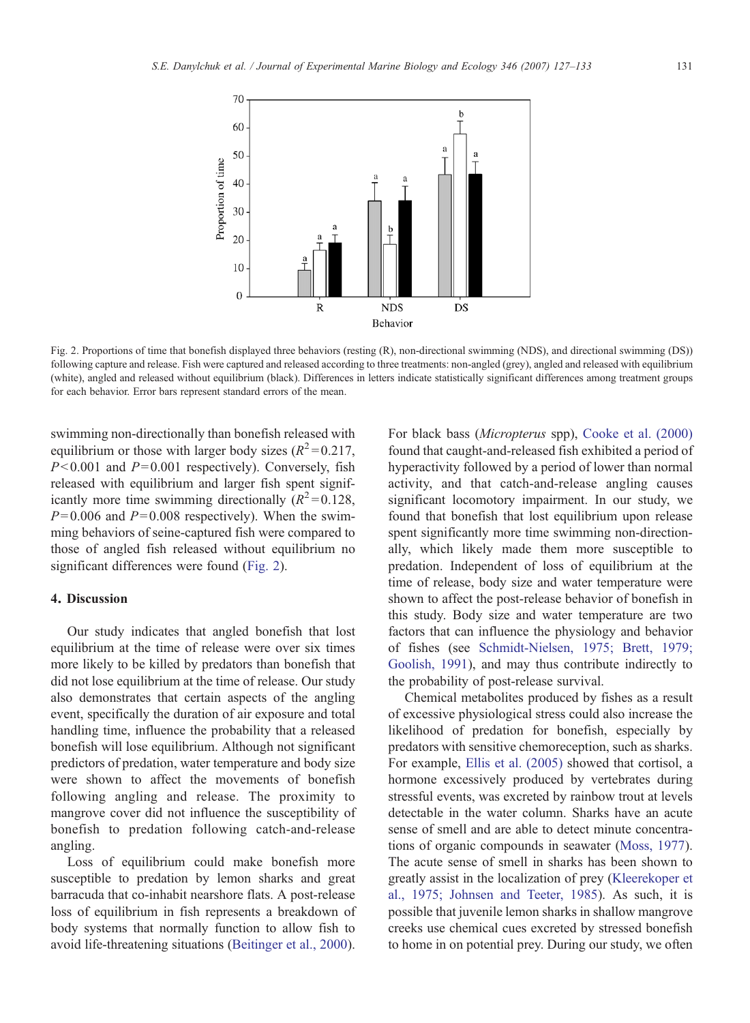

Fig. 2. Proportions of time that bonefish displayed three behaviors (resting (R), non-directional swimming (NDS), and directional swimming (DS)) following capture and release. Fish were captured and released according to three treatments: non-angled (grey), angled and released with equilibrium (white), angled and released without equilibrium (black). Differences in letters indicate statistically significant differences among treatment groups for each behavior. Error bars represent standard errors of the mean.

swimming non-directionally than bonefish released with equilibrium or those with larger body sizes ( $R^2$ =0.217,  $P< 0.001$  and  $P= 0.001$  respectively). Conversely, fish released with equilibrium and larger fish spent significantly more time swimming directionally  $(R^2=0.128,$  $P= 0.006$  and  $P= 0.008$  respectively). When the swimming behaviors of seine-captured fish were compared to those of angled fish released without equilibrium no significant differences were found (Fig. 2).

### 4. Discussion

Our study indicates that angled bonefish that lost equilibrium at the time of release were over six times more likely to be killed by predators than bonefish that did not lose equilibrium at the time of release. Our study also demonstrates that certain aspects of the angling event, specifically the duration of air exposure and total handling time, influence the probability that a released bonefish will lose equilibrium. Although not significant predictors of predation, water temperature and body size were shown to affect the movements of bonefish following angling and release. The proximity to mangrove cover did not influence the susceptibility of bonefish to predation following catch-and-release angling.

Loss of equilibrium could make bonefish more susceptible to predation by lemon sharks and great barracuda that co-inhabit nearshore flats. A post-release loss of equilibrium in fish represents a breakdown of body systems that normally function to allow fish to avoid life-threatening situations ([Beitinger et al., 2000](#page-5-0)).

For black bass (Micropterus spp), [Cooke et al. \(2000\)](#page-5-0) found that caught-and-released fish exhibited a period of hyperactivity followed by a period of lower than normal activity, and that catch-and-release angling causes significant locomotory impairment. In our study, we found that bonefish that lost equilibrium upon release spent significantly more time swimming non-directionally, which likely made them more susceptible to predation. Independent of loss of equilibrium at the time of release, body size and water temperature were shown to affect the post-release behavior of bonefish in this study. Body size and water temperature are two factors that can influence the physiology and behavior of fishes (see [Schmidt-Nielsen, 1975; Brett, 1979;](#page-6-0) [Goolish, 1991\)](#page-6-0), and may thus contribute indirectly to the probability of post-release survival.

Chemical metabolites produced by fishes as a result of excessive physiological stress could also increase the likelihood of predation for bonefish, especially by predators with sensitive chemoreception, such as sharks. For example, [Ellis et al. \(2005\)](#page-6-0) showed that cortisol, a hormone excessively produced by vertebrates during stressful events, was excreted by rainbow trout at levels detectable in the water column. Sharks have an acute sense of smell and are able to detect minute concentrations of organic compounds in seawater [\(Moss, 1977](#page-6-0)). The acute sense of smell in sharks has been shown to greatly assist in the localization of prey ([Kleerekoper et](#page-6-0) [al., 1975; Johnsen and Teeter, 1985](#page-6-0)). As such, it is possible that juvenile lemon sharks in shallow mangrove creeks use chemical cues excreted by stressed bonefish to home in on potential prey. During our study, we often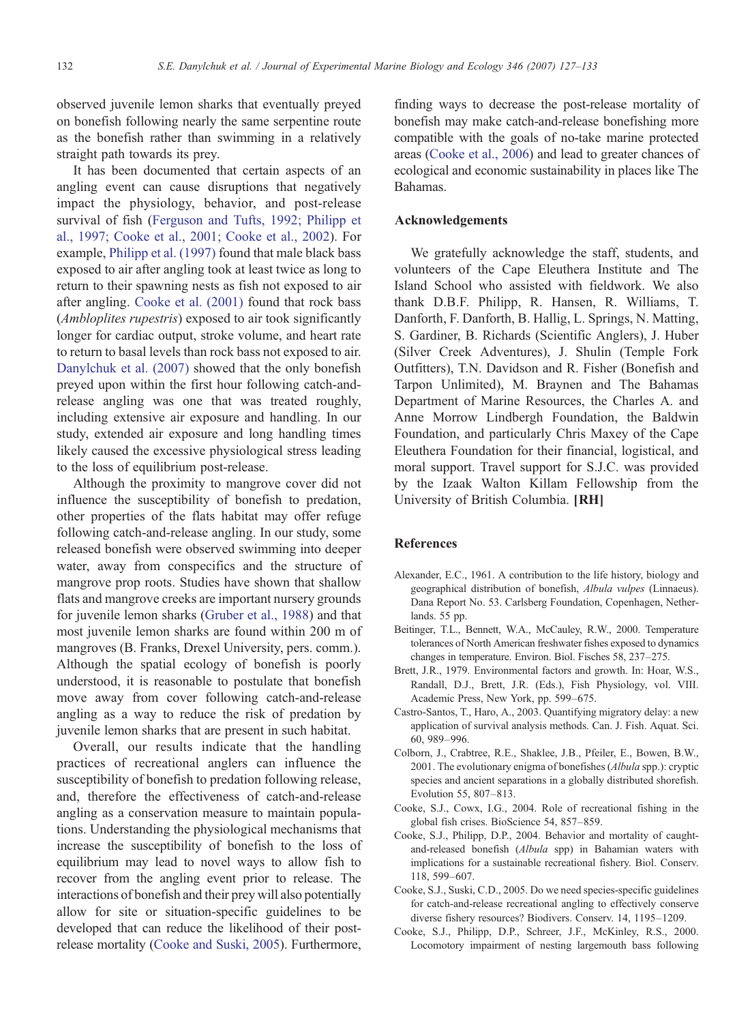<span id="page-5-0"></span>observed juvenile lemon sharks that eventually preyed on bonefish following nearly the same serpentine route as the bonefish rather than swimming in a relatively straight path towards its prey.

It has been documented that certain aspects of an angling event can cause disruptions that negatively impact the physiology, behavior, and post-release survival of fish ([Ferguson and Tufts, 1992; Philipp et](#page-6-0) [al., 1997; Cooke et al., 2001; Cooke et al., 2002](#page-6-0)). For example, [Philipp et al. \(1997\)](#page-6-0) found that male black bass exposed to air after angling took at least twice as long to return to their spawning nests as fish not exposed to air after angling. [Cooke et al. \(2001\)](#page-6-0) found that rock bass (Ambloplites rupestris) exposed to air took significantly longer for cardiac output, stroke volume, and heart rate to return to basal levels than rock bass not exposed to air. [Danylchuk et al. \(2007\)](#page-6-0) showed that the only bonefish preyed upon within the first hour following catch-andrelease angling was one that was treated roughly, including extensive air exposure and handling. In our study, extended air exposure and long handling times likely caused the excessive physiological stress leading to the loss of equilibrium post-release.

Although the proximity to mangrove cover did not influence the susceptibility of bonefish to predation, other properties of the flats habitat may offer refuge following catch-and-release angling. In our study, some released bonefish were observed swimming into deeper water, away from conspecifics and the structure of mangrove prop roots. Studies have shown that shallow flats and mangrove creeks are important nursery grounds for juvenile lemon sharks ([Gruber et al., 1988](#page-6-0)) and that most juvenile lemon sharks are found within 200 m of mangroves (B. Franks, Drexel University, pers. comm.). Although the spatial ecology of bonefish is poorly understood, it is reasonable to postulate that bonefish move away from cover following catch-and-release angling as a way to reduce the risk of predation by juvenile lemon sharks that are present in such habitat.

Overall, our results indicate that the handling practices of recreational anglers can influence the susceptibility of bonefish to predation following release, and, therefore the effectiveness of catch-and-release angling as a conservation measure to maintain populations. Understanding the physiological mechanisms that increase the susceptibility of bonefish to the loss of equilibrium may lead to novel ways to allow fish to recover from the angling event prior to release. The interactions of bonefish and their prey will also potentially allow for site or situation-specific guidelines to be developed that can reduce the likelihood of their postrelease mortality (Cooke and Suski, 2005). Furthermore,

finding ways to decrease the post-release mortality of bonefish may make catch-and-release bonefishing more compatible with the goals of no-take marine protected areas [\(Cooke et al., 2006](#page-6-0)) and lead to greater chances of ecological and economic sustainability in places like The Bahamas.

# Acknowledgements

We gratefully acknowledge the staff, students, and volunteers of the Cape Eleuthera Institute and The Island School who assisted with fieldwork. We also thank D.B.F. Philipp, R. Hansen, R. Williams, T. Danforth, F. Danforth, B. Hallig, L. Springs, N. Matting, S. Gardiner, B. Richards (Scientific Anglers), J. Huber (Silver Creek Adventures), J. Shulin (Temple Fork Outfitters), T.N. Davidson and R. Fisher (Bonefish and Tarpon Unlimited), M. Braynen and The Bahamas Department of Marine Resources, the Charles A. and Anne Morrow Lindbergh Foundation, the Baldwin Foundation, and particularly Chris Maxey of the Cape Eleuthera Foundation for their financial, logistical, and moral support. Travel support for S.J.C. was provided by the Izaak Walton Killam Fellowship from the University of British Columbia. [RH]

# **References**

- Alexander, E.C., 1961. A contribution to the life history, biology and geographical distribution of bonefish, Albula vulpes (Linnaeus). Dana Report No. 53. Carlsberg Foundation, Copenhagen, Netherlands. 55 pp.
- Beitinger, T.L., Bennett, W.A., McCauley, R.W., 2000. Temperature tolerances of North American freshwater fishes exposed to dynamics changes in temperature. Environ. Biol. Fisches 58, 237–275.
- Brett, J.R., 1979. Environmental factors and growth. In: Hoar, W.S., Randall, D.J., Brett, J.R. (Eds.), Fish Physiology, vol. VIII. Academic Press, New York, pp. 599–675.
- Castro-Santos, T., Haro, A., 2003. Quantifying migratory delay: a new application of survival analysis methods. Can. J. Fish. Aquat. Sci. 60, 989–996.
- Colborn, J., Crabtree, R.E., Shaklee, J.B., Pfeiler, E., Bowen, B.W., 2001. The evolutionary enigma of bonefishes (Albula spp.): cryptic species and ancient separations in a globally distributed shorefish. Evolution 55, 807–813.
- Cooke, S.J., Cowx, I.G., 2004. Role of recreational fishing in the global fish crises. BioScience 54, 857–859.
- Cooke, S.J., Philipp, D.P., 2004. Behavior and mortality of caughtand-released bonefish (Albula spp) in Bahamian waters with implications for a sustainable recreational fishery. Biol. Conserv. 118, 599–607.
- Cooke, S.J., Suski, C.D., 2005. Do we need species-specific guidelines for catch-and-release recreational angling to effectively conserve diverse fishery resources? Biodivers. Conserv. 14, 1195–1209.
- Cooke, S.J., Philipp, D.P., Schreer, J.F., McKinley, R.S., 2000. Locomotory impairment of nesting largemouth bass following